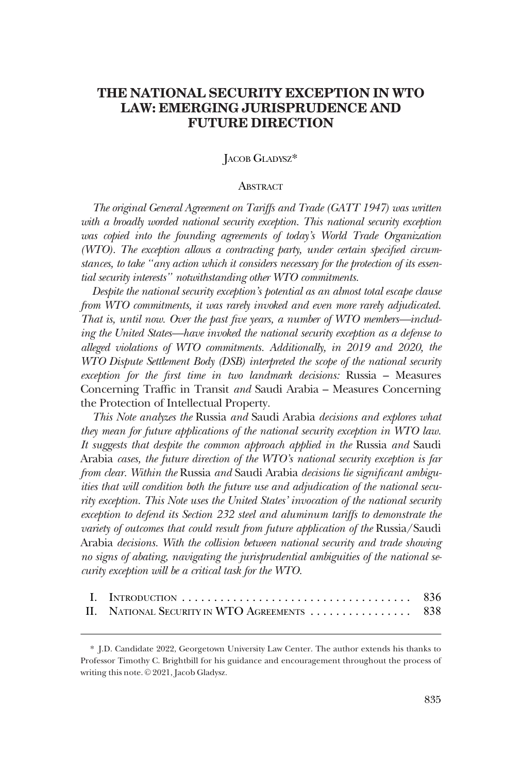# **THE NATIONAL SECURITY EXCEPTION IN WTO LAW: EMERGING JURISPRUDENCE AND FUTURE DIRECTION**

# JACOB GLADYSZ\*

### **ABSTRACT**

*The original General Agreement on Tariffs and Trade (GATT 1947) was written*  with a broadly worded national security exception. This national security exception was copied into the founding agreements of today's World Trade Organization *(WTO). The exception allows a contracting party, under certain specified circumstances, to take "any action which it considers necessary for the protection of its essential security interests" notwithstanding other WTO commitments.* 

*Despite the national security exception's potential as an almost total escape clause from WTO commitments, it was rarely invoked and even more rarely adjudicated. That is, until now. Over the past five years, a number of WTO members—including the United States—have invoked the national security exception as a defense to alleged violations of WTO commitments. Additionally, in 2019 and 2020, the WTO Dispute Settlement Body (DSB) interpreted the scope of the national security exception for the first time in two landmark decisions:* Russia – Measures Concerning Traffic in Transit *and* Saudi Arabia – Measures Concerning the Protection of Intellectual Property*.* 

*This Note analyzes the* Russia *and* Saudi Arabia *decisions and explores what they mean for future applications of the national security exception in WTO law. It suggests that despite the common approach applied in the* Russia *and* Saudi Arabia *cases, the future direction of the WTO's national security exception is far from clear. Within the* Russia *and* Saudi Arabia *decisions lie significant ambiguities that will condition both the future use and adjudication of the national security exception. This Note uses the United States' invocation of the national security exception to defend its Section 232 steel and aluminum tariffs to demonstrate the variety of outcomes that could result from future application of the Russia/Saudi* Arabia *decisions. With the collision between national security and trade showing no signs of abating, navigating the jurisprudential ambiguities of the national security exception will be a critical task for the WTO.* 

| II. NATIONAL SECURITY IN WTO AGREEMENTS  838 |  |
|----------------------------------------------|--|

<sup>\*</sup> J.D. Candidate 2022, Georgetown University Law Center. The author extends his thanks to Professor Timothy C. Brightbill for his guidance and encouragement throughout the process of writing this note. © 2021, Jacob Gladysz.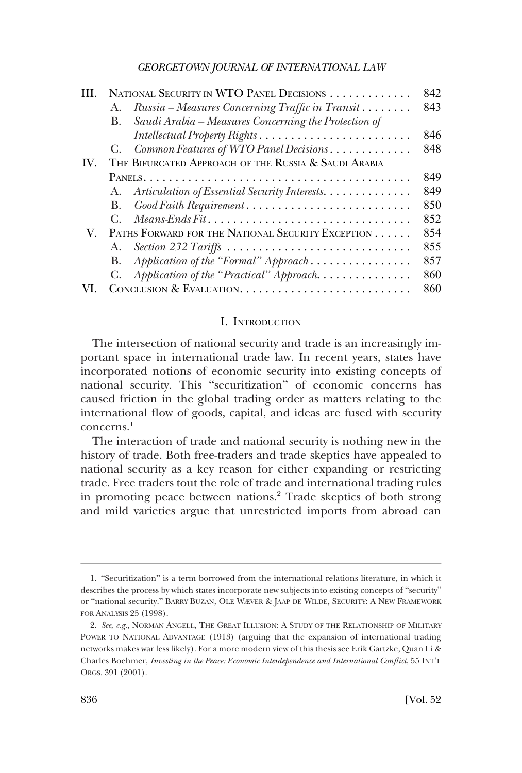<span id="page-1-0"></span>

|     |                                                   | NATIONAL SECURITY IN WTO PANEL DECISIONS                                                         | 842 |
|-----|---------------------------------------------------|--------------------------------------------------------------------------------------------------|-----|
|     | А.                                                | Russia – Measures Concerning Traffic in Transit                                                  | 843 |
|     | В.                                                | Saudi Arabia – Measures Concerning the Protection of                                             |     |
|     |                                                   |                                                                                                  | 846 |
|     |                                                   | C. Common Features of WTO Panel Decisions                                                        | 848 |
| IV. |                                                   | THE BIFURCATED APPROACH OF THE RUSSIA & SAUDI ARABIA                                             |     |
|     |                                                   |                                                                                                  | 849 |
|     | А.                                                | Articulation of Essential Security Interests.                                                    | 849 |
|     | В.                                                |                                                                                                  | 850 |
|     |                                                   | $Means\text{-}Ends\text{-}Fit \dots \dots \dots \dots \dots \dots \dots \dots \dots \dots \dots$ | 852 |
| V.  | PATHS FORWARD FOR THE NATIONAL SECURITY EXCEPTION |                                                                                                  | 854 |
|     | А.                                                |                                                                                                  | 855 |
|     | В.                                                | Application of the "Formal" Approach                                                             | 857 |
|     | C.                                                | Application of the "Practical" Approach.                                                         | 860 |
|     | 860                                               |                                                                                                  |     |

### I. INTRODUCTION

The intersection of national security and trade is an increasingly important space in international trade law. In recent years, states have incorporated notions of economic security into existing concepts of national security. This "securitization" of economic concerns has caused friction in the global trading order as matters relating to the international flow of goods, capital, and ideas are fused with security concerns.1

The interaction of trade and national security is nothing new in the history of trade. Both free-traders and trade skeptics have appealed to national security as a key reason for either expanding or restricting trade. Free traders tout the role of trade and international trading rules in promoting peace between nations.<sup>2</sup> Trade skeptics of both strong and mild varieties argue that unrestricted imports from abroad can

<sup>1.</sup> "Securitization" is a term borrowed from the international relations literature, in which it describes the process by which states incorporate new subjects into existing concepts of "security" or "national security." BARRY BUZAN, OLE WÆVER & JAAP DE WILDE, SECURITY: A NEW FRAMEWORK FOR ANALYSIS 25 (1998).

<sup>2.</sup> *See, e.g.*, NORMAN ANGELL, THE GREAT ILLUSION: A STUDY OF THE RELATIONSHIP OF MILITARY POWER TO NATIONAL ADVANTAGE (1913) (arguing that the expansion of international trading networks makes war less likely). For a more modern view of this thesis see Erik Gartzke, Quan Li & Charles Boehmer, *Investing in the Peace: Economic Interdependence and International Conflict*, 55 INT'L ORGS. 391 (2001).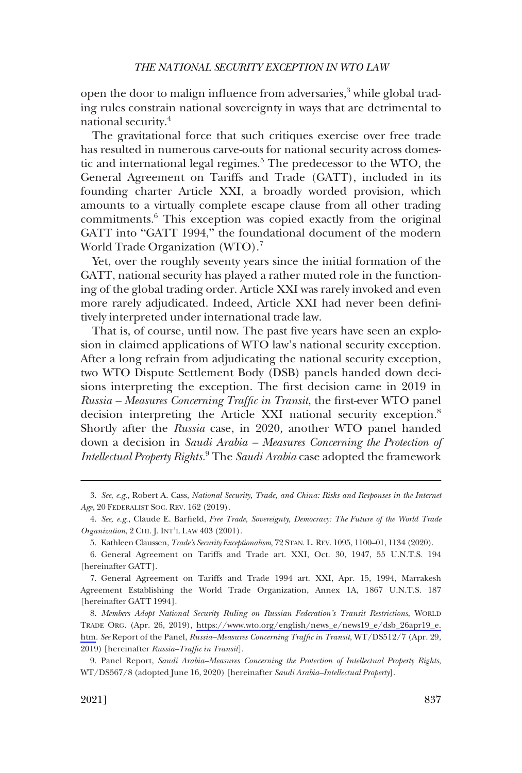open the door to malign influence from adversaries, $3$  while global trading rules constrain national sovereignty in ways that are detrimental to national security.4

The gravitational force that such critiques exercise over free trade has resulted in numerous carve-outs for national security across domestic and international legal regimes.<sup>5</sup> The predecessor to the WTO, the General Agreement on Tariffs and Trade (GATT), included in its founding charter Article XXI, a broadly worded provision, which amounts to a virtually complete escape clause from all other trading commitments.6 This exception was copied exactly from the original GATT into "GATT 1994," the foundational document of the modern World Trade Organization (WTO).<sup>7</sup>

Yet, over the roughly seventy years since the initial formation of the GATT, national security has played a rather muted role in the functioning of the global trading order. Article XXI was rarely invoked and even more rarely adjudicated. Indeed, Article XXI had never been definitively interpreted under international trade law.

That is, of course, until now. The past five years have seen an explosion in claimed applications of WTO law's national security exception. After a long refrain from adjudicating the national security exception, two WTO Dispute Settlement Body (DSB) panels handed down decisions interpreting the exception. The first decision came in 2019 in *Russia – Measures Concerning Traffic in Transit*, the first-ever WTO panel decision interpreting the Article XXI national security exception.<sup>8</sup> Shortly after the *Russia* case, in 2020, another WTO panel handed down a decision in *Saudi Arabia – Measures Concerning the Protection of Intellectual Property Rights.*9 The *Saudi Arabia* case adopted the framework

<sup>3.</sup> *See, e.g.*, Robert A. Cass, *National Security, Trade, and China: Risks and Responses in the Internet Age*, 20 FEDERALIST SOC. REV. 162 (2019).

<sup>4.</sup> *See, e.g.*, Claude E. Barfield, *Free Trade, Sovereignty, Democracy: The Future of the World Trade Organization*, 2 CHI. J. INT'L LAW 403 (2001).

<sup>5.</sup> Kathleen Claussen, *Trade's Security Exceptionalism*, 72 STAN. L. REV. 1095, 1100–01, 1134 (2020).

<sup>6.</sup> General Agreement on Tariffs and Trade art. XXI, Oct. 30, 1947, 55 U.N.T.S. 194 [hereinafter GATT].

<sup>7.</sup> General Agreement on Tariffs and Trade 1994 art. XXI, Apr. 15, 1994, Marrakesh Agreement Establishing the World Trade Organization, Annex 1A, 1867 U.N.T.S. 187 [hereinafter GATT 1994].

*Members Adopt National Security Ruling on Russian Federation's Transit Restrictions*, WORLD 8. TRADE ORG. (Apr. 26, 2019), [https://www.wto.org/english/news\\_e/news19\\_e/dsb\\_26apr19\\_e.](https://www.wto.org/english/news_e/news19_e/dsb_26apr19_e.htm)  [htm](https://www.wto.org/english/news_e/news19_e/dsb_26apr19_e.htm). *See* Report of the Panel, *Russia–Measures Concerning Traffic in Transit*, WT/DS512/7 (Apr. 29, 2019) [hereinafter *Russia–Traffic in Transit*].

<sup>9.</sup> Panel Report, *Saudi Arabia–Measures Concerning the Protection of Intellectual Property Rights*, WT/DS567/8 (adopted June 16, 2020) [hereinafter *Saudi Arabia–Intellectual Property*].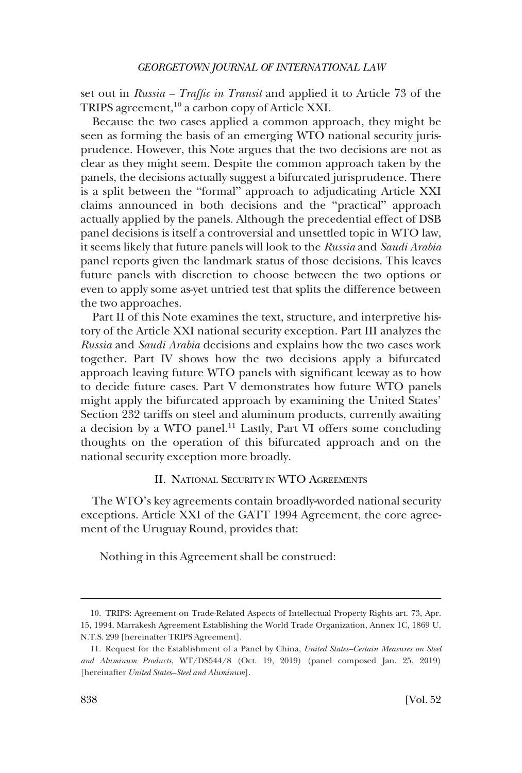<span id="page-3-0"></span>set out in *Russia – Traffic in Transit* and applied it to Article 73 of the TRIPS agreement,  $10^{\circ}$  a carbon copy of Article XXI.

Because the two cases applied a common approach, they might be seen as forming the basis of an emerging WTO national security jurisprudence. However, this Note argues that the two decisions are not as clear as they might seem. Despite the common approach taken by the panels, the decisions actually suggest a bifurcated jurisprudence. There is a split between the "formal" approach to adjudicating Article XXI claims announced in both decisions and the "practical" approach actually applied by the panels. Although the precedential effect of DSB panel decisions is itself a controversial and unsettled topic in WTO law, it seems likely that future panels will look to the *Russia* and *Saudi Arabia*  panel reports given the landmark status of those decisions. This leaves future panels with discretion to choose between the two options or even to apply some as-yet untried test that splits the difference between the two approaches.

Part II of this Note examines the text, structure, and interpretive history of the Article XXI national security exception. Part III analyzes the *Russia* and *Saudi Arabia* decisions and explains how the two cases work together. Part IV shows how the two decisions apply a bifurcated approach leaving future WTO panels with significant leeway as to how to decide future cases. Part V demonstrates how future WTO panels might apply the bifurcated approach by examining the United States' Section 232 tariffs on steel and aluminum products, currently awaiting a decision by a WTO panel.11 Lastly, Part VI offers some concluding thoughts on the operation of this bifurcated approach and on the national security exception more broadly.

### II. NATIONAL SECURITY IN WTO AGREEMENTS

The WTO's key agreements contain broadly-worded national security exceptions. Article XXI of the GATT 1994 Agreement, the core agreement of the Uruguay Round, provides that:

Nothing in this Agreement shall be construed:

<sup>10.</sup> TRIPS: Agreement on Trade-Related Aspects of Intellectual Property Rights art. 73, Apr. 15, 1994, Marrakesh Agreement Establishing the World Trade Organization, Annex 1C, 1869 U. N.T.S. 299 [hereinafter TRIPS Agreement].

<sup>11.</sup> Request for the Establishment of a Panel by China, *United States–Certain Measures on Steel and Aluminum Products*, WT/DS544/8 (Oct. 19, 2019) (panel composed Jan. 25, 2019) [hereinafter *United States–Steel and Aluminum*].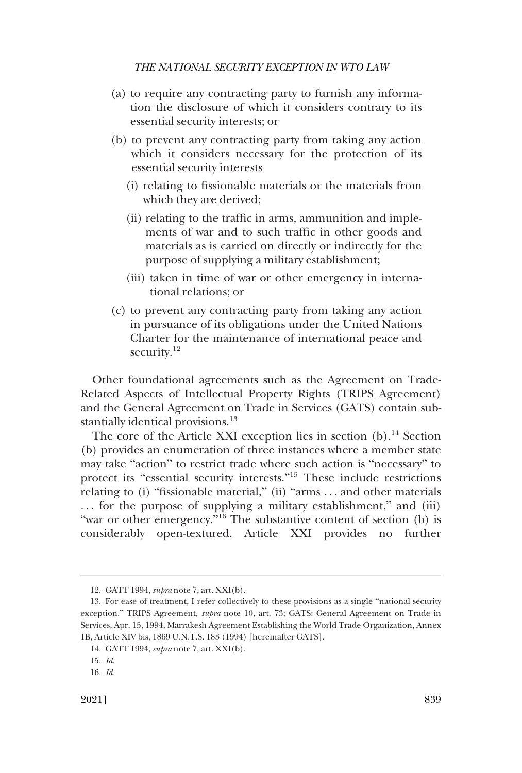- (a) to require any contracting party to furnish any information the disclosure of which it considers contrary to its essential security interests; or
- (b) to prevent any contracting party from taking any action which it considers necessary for the protection of its essential security interests
	- (i) relating to fissionable materials or the materials from which they are derived;
	- (ii) relating to the traffic in arms, ammunition and implements of war and to such traffic in other goods and materials as is carried on directly or indirectly for the purpose of supplying a military establishment;
	- (iii) taken in time of war or other emergency in international relations; or
- (c) to prevent any contracting party from taking any action in pursuance of its obligations under the United Nations Charter for the maintenance of international peace and security.<sup>12</sup>

Other foundational agreements such as the Agreement on Trade-Related Aspects of Intellectual Property Rights (TRIPS Agreement) and the General Agreement on Trade in Services (GATS) contain substantially identical provisions.<sup>13</sup>

The core of the Article XXI exception lies in section  $(b)$ .<sup>14</sup> Section (b) provides an enumeration of three instances where a member state may take "action" to restrict trade where such action is "necessary" to protect its "essential security interests."15 These include restrictions relating to (i) "fissionable material," (ii) "arms . . . and other materials ... for the purpose of supplying a military establishment," and (iii) "war or other emergency."<sup>16</sup> The substantive content of section (b) is considerably open-textured. Article XXI provides no further

<sup>12.</sup> GATT 1994, *supra* note 7, art. XXI(b).

<sup>13.</sup> For ease of treatment, I refer collectively to these provisions as a single "national security exception." TRIPS Agreement, *supra* note 10, art. 73; GATS: General Agreement on Trade in Services, Apr. 15, 1994, Marrakesh Agreement Establishing the World Trade Organization, Annex 1B, Article XIV bis, 1869 U.N.T.S. 183 (1994) [hereinafter GATS].

<sup>14.</sup> GATT 1994, *supra* note 7, art. XXI(b).

<sup>15.</sup> *Id*.

<sup>16.</sup> *Id.*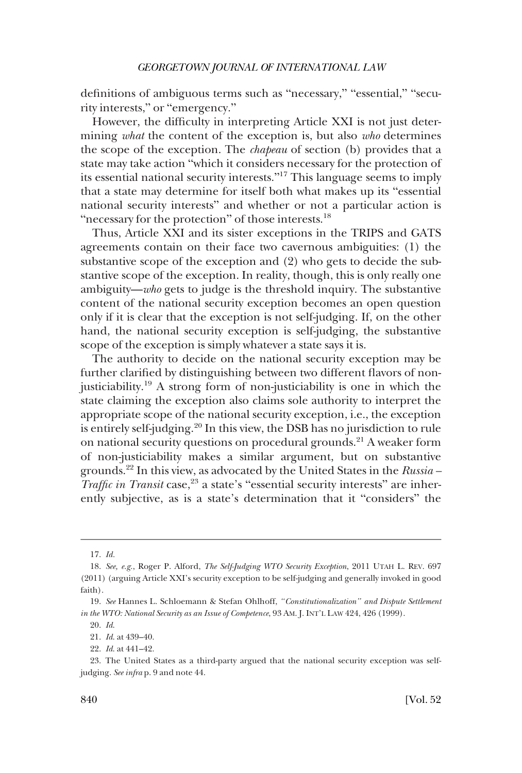definitions of ambiguous terms such as "necessary," "essential," "security interests," or "emergency."

However, the difficulty in interpreting Article XXI is not just determining *what* the content of the exception is, but also *who* determines the scope of the exception. The *chapeau* of section (b) provides that a state may take action "which it considers necessary for the protection of its essential national security interests."17 This language seems to imply that a state may determine for itself both what makes up its "essential national security interests" and whether or not a particular action is "necessary for the protection" of those interests.<sup>18</sup>

Thus, Article XXI and its sister exceptions in the TRIPS and GATS agreements contain on their face two cavernous ambiguities: (1) the substantive scope of the exception and (2) who gets to decide the substantive scope of the exception. In reality, though, this is only really one ambiguity—*who* gets to judge is the threshold inquiry. The substantive content of the national security exception becomes an open question only if it is clear that the exception is not self-judging. If, on the other hand, the national security exception is self-judging, the substantive scope of the exception is simply whatever a state says it is.

The authority to decide on the national security exception may be further clarified by distinguishing between two different flavors of nonjusticiability.19 A strong form of non-justiciability is one in which the state claiming the exception also claims sole authority to interpret the appropriate scope of the national security exception, i.e., the exception is entirely self-judging.20 In this view, the DSB has no jurisdiction to rule on national security questions on procedural grounds.<sup>21</sup> A weaker form of non-justiciability makes a similar argument, but on substantive grounds.22 In this view, as advocated by the United States in the *Russia – Traffic in Transit* case,<sup>23</sup> a state's "essential security interests" are inherently subjective, as is a state's determination that it "considers" the

<sup>17.</sup> *Id.* 

<sup>18.</sup> *See, e.g.*, Roger P. Alford, *The Self-Judging WTO Security Exception*, 2011 UTAH L. REV. 697 (2011) (arguing Article XXI's security exception to be self-judging and generally invoked in good faith).

<sup>19.</sup> *See* Hannes L. Schloemann & Stefan Ohlhoff, *"Constitutionalization" and Dispute Settlement in the WTO: National Security as an Issue of Competence*, 93 AM. J. INT'L LAW 424, 426 (1999).

<sup>20.</sup> *Id*.

<sup>21.</sup> *Id*. at 439–40.

<sup>22.</sup> *Id*. at 441–42.

<sup>23.</sup> The United States as a third-party argued that the national security exception was selfjudging. *See infra* p. 9 and note 44.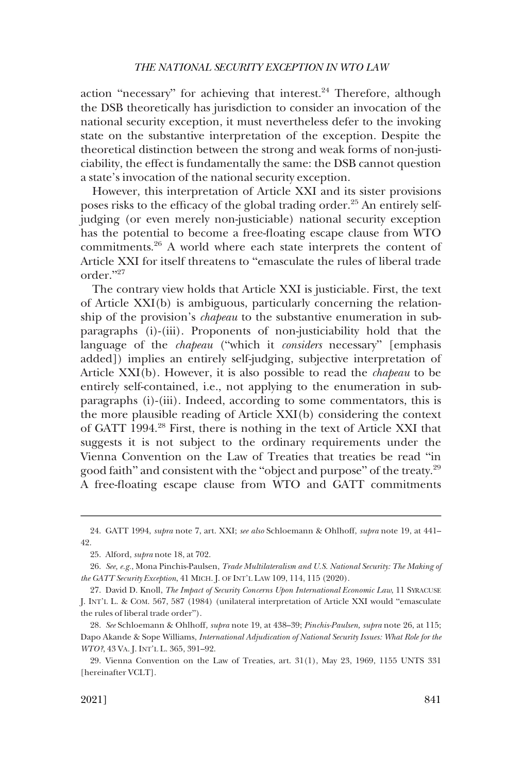action "necessary" for achieving that interest. $24$  Therefore, although the DSB theoretically has jurisdiction to consider an invocation of the national security exception, it must nevertheless defer to the invoking state on the substantive interpretation of the exception. Despite the theoretical distinction between the strong and weak forms of non-justiciability, the effect is fundamentally the same: the DSB cannot question a state's invocation of the national security exception.

However, this interpretation of Article XXI and its sister provisions poses risks to the efficacy of the global trading order.25 An entirely selfjudging (or even merely non-justiciable) national security exception has the potential to become a free-floating escape clause from WTO commitments.26 A world where each state interprets the content of Article XXI for itself threatens to "emasculate the rules of liberal trade order."<sup>27</sup>

The contrary view holds that Article XXI is justiciable. First, the text of Article XXI(b) is ambiguous, particularly concerning the relationship of the provision's *chapeau* to the substantive enumeration in subparagraphs (i)-(iii). Proponents of non-justiciability hold that the language of the *chapeau* ("which it *considers* necessary" [emphasis added]) implies an entirely self-judging, subjective interpretation of Article XXI(b). However, it is also possible to read the *chapeau* to be entirely self-contained, i.e., not applying to the enumeration in subparagraphs (i)-(iii). Indeed, according to some commentators, this is the more plausible reading of Article XXI(b) considering the context of GATT 1994.28 First, there is nothing in the text of Article XXI that suggests it is not subject to the ordinary requirements under the Vienna Convention on the Law of Treaties that treaties be read "in good faith" and consistent with the "object and purpose" of the treaty.<sup>29</sup> A free-floating escape clause from WTO and GATT commitments

<sup>24.</sup> GATT 1994, *supra* note 7, art. XXI; *see also* Schloemann & Ohlhoff, *supra* note 19, at 441– 42.

<sup>25.</sup> Alford, *supra* note 18, at 702.

<sup>26.</sup> *See, e.g.*, Mona Pinchis-Paulsen, *Trade Multilateralism and U.S. National Security: The Making of the GATT Security Exception*, 41 MICH. J. OF INT'L LAW 109, 114, 115 (2020).

<sup>27.</sup> David D. Knoll, *The Impact of Security Concerns Upon International Economic Law*, 11 SYRACUSE J. INT'L L. & COM. 567, 587 (1984) (unilateral interpretation of Article XXI would "emasculate the rules of liberal trade order").

<sup>28.</sup> *See* Schloemann & Ohlhoff*, supra* note 19, at 438–39; *Pinchis-Paulsen, supra* note 26, at 115; Dapo Akande & Sope Williams, *International Adjudication of National Security Issues: What Role for the WTO?*, 43 VA. J. INT'L L. 365, 391–92.

<sup>29.</sup> Vienna Convention on the Law of Treaties, art. 31(1), May 23, 1969, 1155 UNTS 331 [hereinafter VCLT].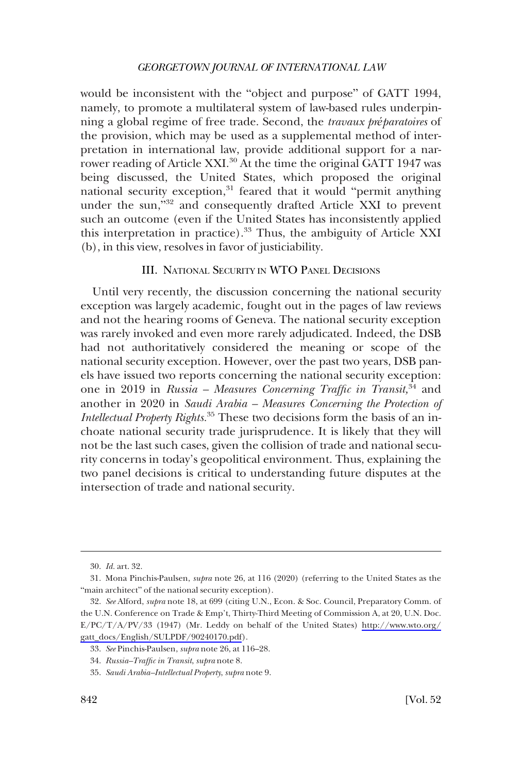<span id="page-7-0"></span>would be inconsistent with the "object and purpose" of GATT 1994, namely, to promote a multilateral system of law-based rules underpinning a global regime of free trade. Second, the *travaux préparatoires* of the provision, which may be used as a supplemental method of interpretation in international law, provide additional support for a narrower reading of Article XXI.<sup>30</sup> At the time the original GATT 1947 was being discussed, the United States, which proposed the original national security exception, $31$  feared that it would "permit anything under the sun,"<sup>32</sup> and consequently drafted Article XXI to prevent such an outcome (even if the United States has inconsistently applied this interpretation in practice).33 Thus, the ambiguity of Article XXI (b), in this view, resolves in favor of justiciability.

### III. NATIONAL SECURITY IN WTO PANEL DECISIONS

Until very recently, the discussion concerning the national security exception was largely academic, fought out in the pages of law reviews and not the hearing rooms of Geneva. The national security exception was rarely invoked and even more rarely adjudicated. Indeed, the DSB had not authoritatively considered the meaning or scope of the national security exception. However, over the past two years, DSB panels have issued two reports concerning the national security exception: one in 2019 in *Russia – Measures Concerning Traffic in Transit,*34 and another in 2020 in *Saudi Arabia – Measures Concerning the Protection of Intellectual Property Rights.*35 These two decisions form the basis of an inchoate national security trade jurisprudence. It is likely that they will not be the last such cases, given the collision of trade and national security concerns in today's geopolitical environment. Thus, explaining the two panel decisions is critical to understanding future disputes at the intersection of trade and national security.

<sup>30.</sup> *Id.* art. 32.

<sup>31.</sup> Mona Pinchis-Paulsen, *supra* note 26, at 116 (2020) (referring to the United States as the "main architect" of the national security exception).

*See* Alford, *supra* note 18, at 699 (citing U.N., Econ. & Soc. Council, Preparatory Comm. of 32. the U.N. Conference on Trade & Emp't, Thirty-Third Meeting of Commission A, at 20, U.N. Doc. E/PC/T/A/PV/33 (1947) (Mr. Leddy on behalf of the United States) [http://www.wto.org/](http://www.wto.org/gatt_docs/English/SULPDF/90240170.pdf) [gatt\\_docs/English/SULPDF/90240170.pdf](http://www.wto.org/gatt_docs/English/SULPDF/90240170.pdf)).

<sup>33.</sup> *See* Pinchis-Paulsen, *supra* note 26, at 116–28.

<sup>34.</sup> *Russia–Traffic in Transit*, *supra* note 8.

<sup>35.</sup> *Saudi Arabia–Intellectual Property*, *supra* note 9.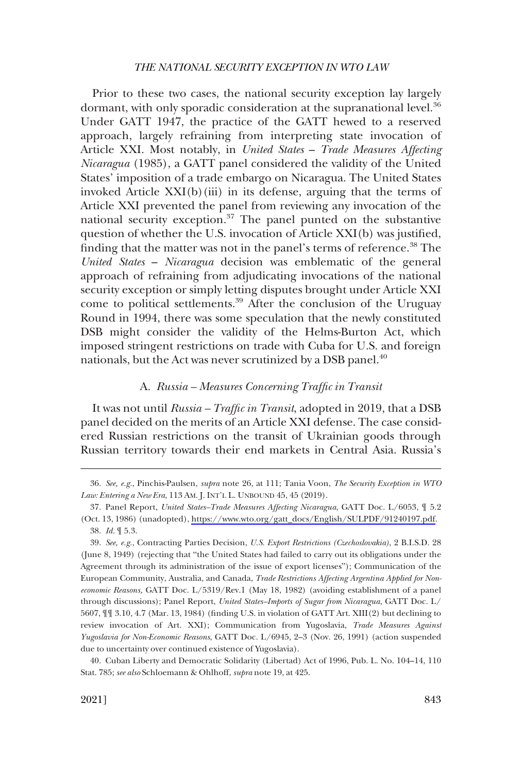<span id="page-8-0"></span>Prior to these two cases, the national security exception lay largely dormant, with only sporadic consideration at the supranational level.<sup>36</sup> Under GATT 1947, the practice of the GATT hewed to a reserved approach, largely refraining from interpreting state invocation of Article XXI. Most notably, in *United States* – *Trade Measures Affecting Nicaragua* (1985), a GATT panel considered the validity of the United States' imposition of a trade embargo on Nicaragua. The United States invoked Article XXI(b)(iii) in its defense, arguing that the terms of Article XXI prevented the panel from reviewing any invocation of the national security exception.<sup>37</sup> The panel punted on the substantive question of whether the U.S. invocation of Article XXI(b) was justified, finding that the matter was not in the panel's terms of reference.<sup>38</sup> The *United States* – *Nicaragua* decision was emblematic of the general approach of refraining from adjudicating invocations of the national security exception or simply letting disputes brought under Article XXI come to political settlements.<sup>39</sup> After the conclusion of the Uruguay Round in 1994, there was some speculation that the newly constituted DSB might consider the validity of the Helms-Burton Act, which imposed stringent restrictions on trade with Cuba for U.S. and foreign nationals, but the Act was never scrutinized by a DSB panel.<sup>40</sup>

### A. *Russia – Measures Concerning Traffic in Transit*

It was not until *Russia – Traffic in Transit*, adopted in 2019, that a DSB panel decided on the merits of an Article XXI defense. The case considered Russian restrictions on the transit of Ukrainian goods through Russian territory towards their end markets in Central Asia. Russia's

<sup>36.</sup> *See, e.g.*, Pinchis-Paulsen, *supra* note 26, at 111; Tania Voon, *The Security Exception in WTO Law: Entering a New Era*, 113 AM. J. INT'L L. UNBOUND 45, 45 (2019).

<sup>37.</sup> Panel Report, *United States–Trade Measures Affecting Nicaragua*, GATT Doc. L/6053,  $\parallel$  5.2 (Oct. 13, 1986) (unadopted), [https://www.wto.org/gatt\\_docs/English/SULPDF/91240197.pdf](https://www.wto.org/gatt_docs/English/SULPDF/91240197.pdf). 38. *Id.* ¶ 5.3.

<sup>39.</sup> *See, e.g.*, Contracting Parties Decision, *U.S. Export Restrictions (Czechoslovakia)*, 2 B.I.S.D. 28 (June 8, 1949) (rejecting that "the United States had failed to carry out its obligations under the Agreement through its administration of the issue of export licenses"); Communication of the European Community, Australia, and Canada, *Trade Restrictions Affecting Argentina Applied for Noneconomic Reasons,* GATT Doc. L/5319/Rev.1 (May 18, 1982) (avoiding establishment of a panel through discussions); Panel Report, *United States–Imports of Sugar from Nicaragua*, GATT Doc. L/ 5607, ¶¶ 3.10, 4.7 (Mar. 13, 1984) (finding U.S. in violation of GATT Art. XIII(2) but declining to review invocation of Art. XXI); Communication from Yugoslavia, *Trade Measures Against Yugoslavia for Non-Economic Reasons*, GATT Doc. L/6945, 2–3 (Nov. 26, 1991) (action suspended due to uncertainty over continued existence of Yugoslavia).

<sup>40.</sup> Cuban Liberty and Democratic Solidarity (Libertad) Act of 1996, Pub. L. No. 104–14, 110 Stat. 785; *see also* Schloemann & Ohlhoff, *supra* note 19, at 425.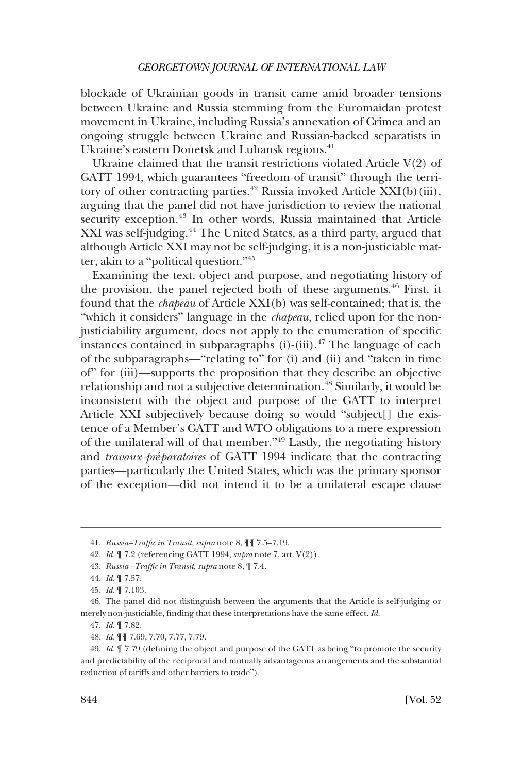blockade of Ukrainian goods in transit came amid broader tensions between Ukraine and Russia stemming from the Euromaidan protest movement in Ukraine, including Russia's annexation of Crimea and an ongoing struggle between Ukraine and Russian-backed separatists in Ukraine's eastern Donetsk and Luhansk regions.<sup>41</sup>

Ukraine claimed that the transit restrictions violated Article V(2) of GATT 1994, which guarantees "freedom of transit" through the territory of other contracting parties.<sup>42</sup> Russia invoked Article XXI(b)(iii), arguing that the panel did not have jurisdiction to review the national security exception.<sup>43</sup> In other words, Russia maintained that Article XXI was self-judging.<sup>44</sup> The United States, as a third party, argued that although Article XXI may not be self-judging, it is a non-justiciable matter, akin to a "political question."<sup>45</sup>

Examining the text, object and purpose, and negotiating history of the provision, the panel rejected both of these arguments. $46$  First, it found that the *chapeau* of Article XXI(b) was self-contained; that is, the "which it considers" language in the *chapeau*, relied upon for the nonjusticiability argument, does not apply to the enumeration of specific instances contained in subparagraphs  $(i)$ - $(iii)$ .<sup>47</sup> The language of each of the subparagraphs—"relating to" for (i) and (ii) and "taken in time of" for (iii)—supports the proposition that they describe an objective relationship and not a subjective determination.<sup>48</sup> Similarly, it would be inconsistent with the object and purpose of the GATT to interpret Article XXI subjectively because doing so would "subject[] the existence of a Member's GATT and WTO obligations to a mere expression of the unilateral will of that member."49 Lastly, the negotiating history and *travaux préparatoires* of GATT 1994 indicate that the contracting parties—particularly the United States, which was the primary sponsor of the exception—did not intend it to be a unilateral escape clause

<sup>41.</sup> *Russia–Traffic in Transit*, *supra* note 8, ¶¶ 7.5–7.19.

<sup>42.</sup> *Id.* ¶ 7.2 (referencing GATT 1994, *supra* note 7, art. V(2)).

<sup>43.</sup> *Russia –Traffic in Transit*, *supra* note 8, ¶ 7.4.

<sup>44.</sup> *Id.* ¶ 7.57.

<sup>45.</sup> *Id.* ¶ 7.103.

<sup>46.</sup> The panel did not distinguish between the arguments that the Article is self-judging or merely non-justiciable, finding that these interpretations have the same effect. *Id.* 

<sup>47.</sup> *Id.* ¶ 7.82.

<sup>48.</sup> *Id.* ¶¶ 7.69, 7.70, 7.77, 7.79.

<sup>49.</sup> *Id.* ¶ 7.79 (defining the object and purpose of the GATT as being "to promote the security and predictability of the reciprocal and mutually advantageous arrangements and the substantial reduction of tariffs and other barriers to trade").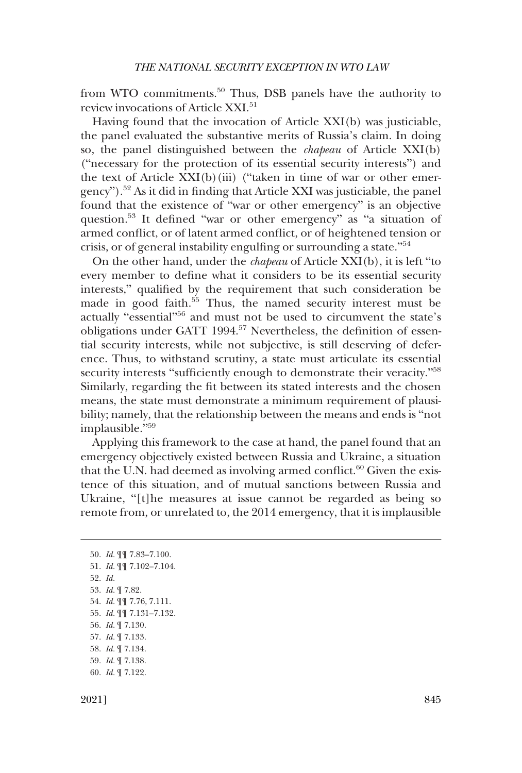from WTO commitments.<sup>50</sup> Thus, DSB panels have the authority to review invocations of Article XXI.<sup>51</sup>

Having found that the invocation of Article XXI(b) was justiciable, the panel evaluated the substantive merits of Russia's claim. In doing so, the panel distinguished between the *chapeau* of Article XXI(b) ("necessary for the protection of its essential security interests") and the text of Article XXI(b)(iii) ("taken in time of war or other emergency").52 As it did in finding that Article XXI was justiciable, the panel found that the existence of "war or other emergency" is an objective question.53 It defined "war or other emergency" as "a situation of armed conflict, or of latent armed conflict, or of heightened tension or crisis, or of general instability engulfing or surrounding a state."<sup>54</sup>

On the other hand, under the *chapeau* of Article XXI(b), it is left "to every member to define what it considers to be its essential security interests," qualified by the requirement that such consideration be made in good faith.<sup>55</sup> Thus, the named security interest must be actually "essential"56 and must not be used to circumvent the state's obligations under GATT 1994.57 Nevertheless, the definition of essential security interests, while not subjective, is still deserving of deference. Thus, to withstand scrutiny, a state must articulate its essential security interests "sufficiently enough to demonstrate their veracity."<sup>58</sup> Similarly, regarding the fit between its stated interests and the chosen means, the state must demonstrate a minimum requirement of plausibility; namely, that the relationship between the means and ends is "not implausible."<sup>59</sup>

Applying this framework to the case at hand, the panel found that an emergency objectively existed between Russia and Ukraine, a situation that the U.N. had deemed as involving armed conflict. $60$  Given the existence of this situation, and of mutual sanctions between Russia and Ukraine, "[t]he measures at issue cannot be regarded as being so remote from, or unrelated to, the 2014 emergency, that it is implausible

50. *Id.* ¶¶ 7.83–7.100. 51. *Id.* ¶¶ 7.102–7.104. 52. *Id.*  53. *Id.* ¶ 7.82. 54. *Id.* ¶¶ 7.76, 7.111. 55. *Id.* ¶¶ 7.131–7.132. 56. *Id.* ¶ 7.130. 57. *Id.* ¶ 7.133. 58. *Id.* ¶ 7.134. 59. *Id.* ¶ 7.138. 60. *Id.* ¶ 7.122.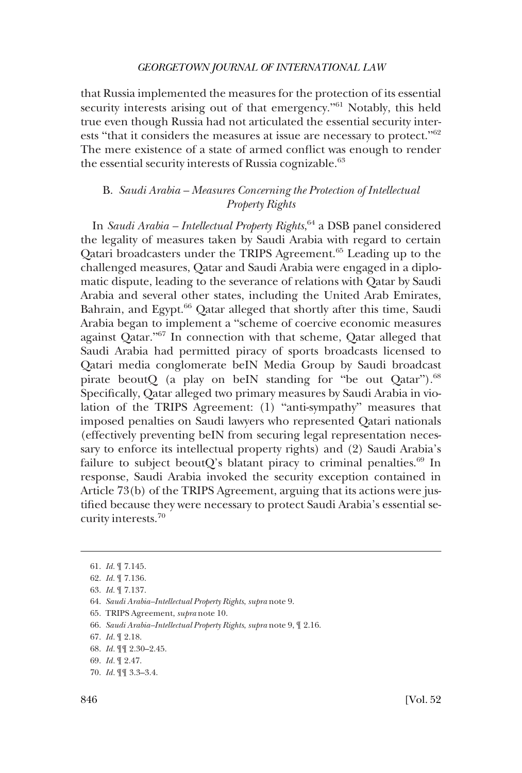<span id="page-11-0"></span>that Russia implemented the measures for the protection of its essential security interests arising out of that emergency."<sup>61</sup> Notably, this held true even though Russia had not articulated the essential security interests "that it considers the measures at issue are necessary to protect."<sup>62</sup> The mere existence of a state of armed conflict was enough to render the essential security interests of Russia cognizable.<sup>63</sup>

# B. *Saudi Arabia – Measures Concerning the Protection of Intellectual Property Rights*

In *Saudi Arabia – Intellectual Property Rights*, 64 a DSB panel considered the legality of measures taken by Saudi Arabia with regard to certain Qatari broadcasters under the TRIPS Agreement.65 Leading up to the challenged measures, Qatar and Saudi Arabia were engaged in a diplomatic dispute, leading to the severance of relations with Qatar by Saudi Arabia and several other states, including the United Arab Emirates, Bahrain, and Egypt.<sup>66</sup> Qatar alleged that shortly after this time, Saudi Arabia began to implement a "scheme of coercive economic measures against Qatar."67 In connection with that scheme, Qatar alleged that Saudi Arabia had permitted piracy of sports broadcasts licensed to Qatari media conglomerate beIN Media Group by Saudi broadcast pirate beoutQ (a play on beIN standing for "be out Qatar").<sup>68</sup> Specifically, Qatar alleged two primary measures by Saudi Arabia in violation of the TRIPS Agreement: (1) "anti-sympathy" measures that imposed penalties on Saudi lawyers who represented Qatari nationals (effectively preventing beIN from securing legal representation necessary to enforce its intellectual property rights) and (2) Saudi Arabia's failure to subject beoutQ's blatant piracy to criminal penalties. $69$  In response, Saudi Arabia invoked the security exception contained in Article 73(b) of the TRIPS Agreement, arguing that its actions were justified because they were necessary to protect Saudi Arabia's essential security interests.70

<sup>61.</sup> *Id.* ¶ 7.145.

<sup>62.</sup> *Id.* ¶ 7.136.

<sup>63.</sup> *Id.* ¶ 7.137.

<sup>64.</sup> *Saudi Arabia–Intellectual Property Rights*, *supra* note 9.

<sup>65.</sup> TRIPS Agreement, *supra* note 10.

<sup>66.</sup> *Saudi Arabia–Intellectual Property Rights*, *supra* note 9, ¶ 2.16.

<sup>67.</sup> *Id.* ¶ 2.18.

<sup>68.</sup> *Id.* ¶¶ 2.30–2.45.

<sup>69.</sup> *Id.* ¶ 2.47.

<sup>70.</sup> *Id.* ¶¶ 3.3–3.4.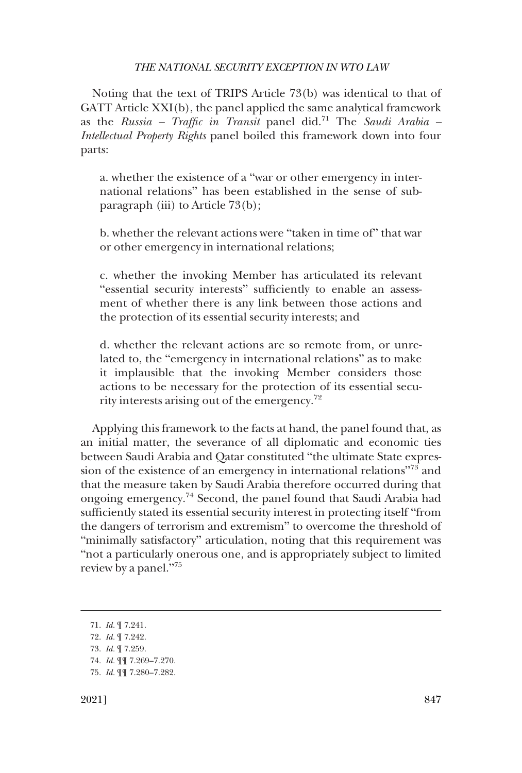Noting that the text of TRIPS Article 73(b) was identical to that of GATT Article XXI(b), the panel applied the same analytical framework as the *Russia – Traffic in Transit* panel did.71 The *Saudi Arabia – Intellectual Property Rights* panel boiled this framework down into four parts:

a. whether the existence of a "war or other emergency in international relations" has been established in the sense of subparagraph (iii) to Article 73(b);

b. whether the relevant actions were "taken in time of" that war or other emergency in international relations;

c. whether the invoking Member has articulated its relevant "essential security interests" sufficiently to enable an assessment of whether there is any link between those actions and the protection of its essential security interests; and

d. whether the relevant actions are so remote from, or unrelated to, the "emergency in international relations" as to make it implausible that the invoking Member considers those actions to be necessary for the protection of its essential security interests arising out of the emergency.<sup>72</sup>

Applying this framework to the facts at hand, the panel found that, as an initial matter, the severance of all diplomatic and economic ties between Saudi Arabia and Qatar constituted "the ultimate State expression of the existence of an emergency in international relations"73 and that the measure taken by Saudi Arabia therefore occurred during that ongoing emergency.74 Second, the panel found that Saudi Arabia had sufficiently stated its essential security interest in protecting itself "from the dangers of terrorism and extremism" to overcome the threshold of "minimally satisfactory" articulation, noting that this requirement was "not a particularly onerous one, and is appropriately subject to limited review by a panel."<sup>75</sup>

<sup>71.</sup> *Id.* ¶ 7.241. 72. *Id.* ¶ 7.242. 73. *Id.* ¶ 7.259. 74. *Id.* ¶¶ 7.269–7.270. 75. *Id.* ¶¶ 7.280–7.282.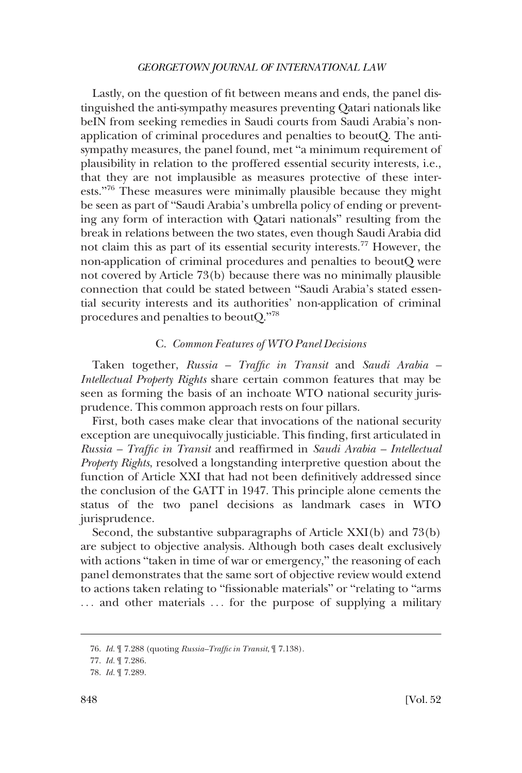<span id="page-13-0"></span>Lastly, on the question of fit between means and ends, the panel distinguished the anti-sympathy measures preventing Qatari nationals like beIN from seeking remedies in Saudi courts from Saudi Arabia's nonapplication of criminal procedures and penalties to beoutQ. The antisympathy measures, the panel found, met "a minimum requirement of plausibility in relation to the proffered essential security interests, i.e., that they are not implausible as measures protective of these interests."<sup>76</sup> These measures were minimally plausible because they might be seen as part of "Saudi Arabia's umbrella policy of ending or preventing any form of interaction with Qatari nationals" resulting from the break in relations between the two states, even though Saudi Arabia did not claim this as part of its essential security interests.77 However, the non-application of criminal procedures and penalties to beoutQ were not covered by Article 73(b) because there was no minimally plausible connection that could be stated between "Saudi Arabia's stated essential security interests and its authorities' non-application of criminal procedures and penalties to beoutQ."<sup>78</sup>

### C. *Common Features of WTO Panel Decisions*

Taken together, *Russia – Traffic in Transit* and *Saudi Arabia – Intellectual Property Rights* share certain common features that may be seen as forming the basis of an inchoate WTO national security jurisprudence. This common approach rests on four pillars.

First, both cases make clear that invocations of the national security exception are unequivocally justiciable. This finding, first articulated in *Russia – Traffic in Transit* and reaffirmed in *Saudi Arabia – Intellectual Property Rights*, resolved a longstanding interpretive question about the function of Article XXI that had not been definitively addressed since the conclusion of the GATT in 1947. This principle alone cements the status of the two panel decisions as landmark cases in WTO jurisprudence.

Second, the substantive subparagraphs of Article XXI(b) and 73(b) are subject to objective analysis. Although both cases dealt exclusively with actions "taken in time of war or emergency," the reasoning of each panel demonstrates that the same sort of objective review would extend to actions taken relating to "fissionable materials" or "relating to "arms ... and other materials ... for the purpose of supplying a military

<sup>76.</sup> *Id.* ¶ 7.288 (quoting *Russia–Traffic in Transit*, ¶ 7.138).

<sup>77.</sup> *Id.* ¶ 7.286.

<sup>78.</sup> *Id.* ¶ 7.289.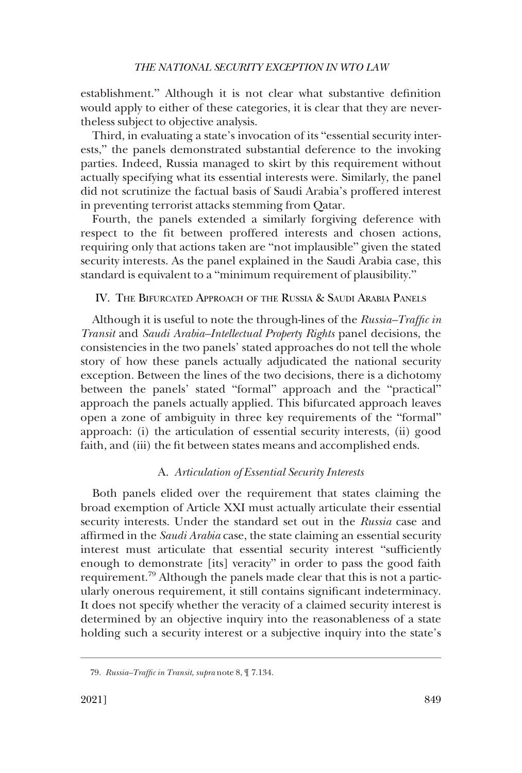<span id="page-14-0"></span>establishment." Although it is not clear what substantive definition would apply to either of these categories, it is clear that they are nevertheless subject to objective analysis.

Third, in evaluating a state's invocation of its "essential security interests," the panels demonstrated substantial deference to the invoking parties. Indeed, Russia managed to skirt by this requirement without actually specifying what its essential interests were. Similarly, the panel did not scrutinize the factual basis of Saudi Arabia's proffered interest in preventing terrorist attacks stemming from Qatar.

Fourth, the panels extended a similarly forgiving deference with respect to the fit between proffered interests and chosen actions, requiring only that actions taken are "not implausible" given the stated security interests. As the panel explained in the Saudi Arabia case, this standard is equivalent to a "minimum requirement of plausibility."

# IV. THE BIFURCATED APPROACH OF THE RUSSIA & SAUDI ARABIA PANELS

Although it is useful to note the through-lines of the *Russia–Traffic in Transit* and *Saudi Arabia–Intellectual Property Rights* panel decisions, the consistencies in the two panels' stated approaches do not tell the whole story of how these panels actually adjudicated the national security exception. Between the lines of the two decisions, there is a dichotomy between the panels' stated "formal" approach and the "practical" approach the panels actually applied. This bifurcated approach leaves open a zone of ambiguity in three key requirements of the "formal" approach: (i) the articulation of essential security interests, (ii) good faith, and (iii) the fit between states means and accomplished ends.

# A. *Articulation of Essential Security Interests*

Both panels elided over the requirement that states claiming the broad exemption of Article XXI must actually articulate their essential security interests. Under the standard set out in the *Russia* case and affirmed in the *Saudi Arabia* case, the state claiming an essential security interest must articulate that essential security interest "sufficiently enough to demonstrate [its] veracity" in order to pass the good faith requirement.79 Although the panels made clear that this is not a particularly onerous requirement, it still contains significant indeterminacy. It does not specify whether the veracity of a claimed security interest is determined by an objective inquiry into the reasonableness of a state holding such a security interest or a subjective inquiry into the state's

<sup>79.</sup> *Russia–Traffic in Transit*, *supra* note 8, ¶ 7.134.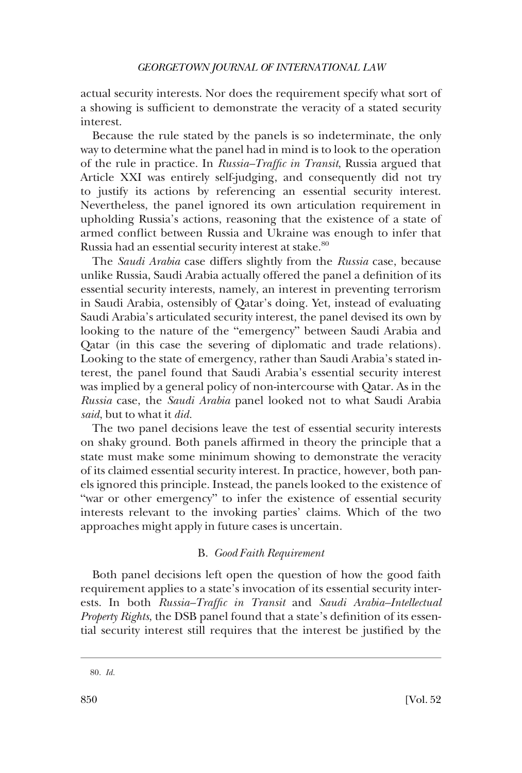<span id="page-15-0"></span>actual security interests. Nor does the requirement specify what sort of a showing is sufficient to demonstrate the veracity of a stated security interest.

Because the rule stated by the panels is so indeterminate, the only way to determine what the panel had in mind is to look to the operation of the rule in practice. In *Russia–Traffic in Transit*, Russia argued that Article XXI was entirely self-judging, and consequently did not try to justify its actions by referencing an essential security interest. Nevertheless, the panel ignored its own articulation requirement in upholding Russia's actions, reasoning that the existence of a state of armed conflict between Russia and Ukraine was enough to infer that Russia had an essential security interest at stake.<sup>80</sup>

The *Saudi Arabia* case differs slightly from the *Russia* case, because unlike Russia, Saudi Arabia actually offered the panel a definition of its essential security interests, namely, an interest in preventing terrorism in Saudi Arabia, ostensibly of Qatar's doing. Yet, instead of evaluating Saudi Arabia's articulated security interest, the panel devised its own by looking to the nature of the "emergency" between Saudi Arabia and Qatar (in this case the severing of diplomatic and trade relations). Looking to the state of emergency, rather than Saudi Arabia's stated interest, the panel found that Saudi Arabia's essential security interest was implied by a general policy of non-intercourse with Qatar. As in the *Russia* case, the *Saudi Arabia* panel looked not to what Saudi Arabia *said*, but to what it *did.* 

The two panel decisions leave the test of essential security interests on shaky ground. Both panels affirmed in theory the principle that a state must make some minimum showing to demonstrate the veracity of its claimed essential security interest. In practice, however, both panels ignored this principle. Instead, the panels looked to the existence of "war or other emergency" to infer the existence of essential security interests relevant to the invoking parties' claims. Which of the two approaches might apply in future cases is uncertain.

# B. *Good Faith Requirement*

Both panel decisions left open the question of how the good faith requirement applies to a state's invocation of its essential security interests. In both *Russia–Traffic in Transit* and *Saudi Arabia–Intellectual Property Rights*, the DSB panel found that a state's definition of its essential security interest still requires that the interest be justified by the

<sup>80.</sup> *Id.*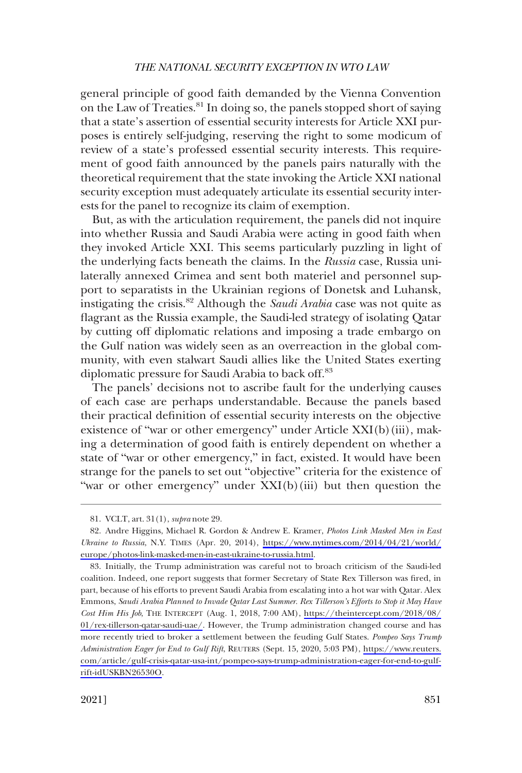general principle of good faith demanded by the Vienna Convention on the Law of Treaties.81 In doing so, the panels stopped short of saying that a state's assertion of essential security interests for Article XXI purposes is entirely self-judging, reserving the right to some modicum of review of a state's professed essential security interests. This requirement of good faith announced by the panels pairs naturally with the theoretical requirement that the state invoking the Article XXI national security exception must adequately articulate its essential security interests for the panel to recognize its claim of exemption.

But, as with the articulation requirement, the panels did not inquire into whether Russia and Saudi Arabia were acting in good faith when they invoked Article XXI. This seems particularly puzzling in light of the underlying facts beneath the claims. In the *Russia* case, Russia unilaterally annexed Crimea and sent both materiel and personnel support to separatists in the Ukrainian regions of Donetsk and Luhansk, instigating the crisis.82 Although the *Saudi Arabia* case was not quite as flagrant as the Russia example, the Saudi-led strategy of isolating Qatar by cutting off diplomatic relations and imposing a trade embargo on the Gulf nation was widely seen as an overreaction in the global community, with even stalwart Saudi allies like the United States exerting diplomatic pressure for Saudi Arabia to back off.<sup>83</sup>

The panels' decisions not to ascribe fault for the underlying causes of each case are perhaps understandable. Because the panels based their practical definition of essential security interests on the objective existence of "war or other emergency" under Article XXI(b)(iii), making a determination of good faith is entirely dependent on whether a state of "war or other emergency," in fact, existed. It would have been strange for the panels to set out "objective" criteria for the existence of "war or other emergency" under XXI(b)(iii) but then question the

<sup>81.</sup> VCLT, art. 31(1), *supra* note 29.

Andre Higgins, Michael R. Gordon & Andrew E. Kramer, *Photos Link Masked Men in East*  82. *Ukraine to Russia*, N.Y. TIMES (Apr. 20, 2014), [https://www.nytimes.com/2014/04/21/world/](https://www.nytimes.com/2014/04/21/world/europe/photos-link-masked-men-in-east-ukraine-to-russia.html)  [europe/photos-link-masked-men-in-east-ukraine-to-russia.html.](https://www.nytimes.com/2014/04/21/world/europe/photos-link-masked-men-in-east-ukraine-to-russia.html)

<sup>83.</sup> Initially, the Trump administration was careful not to broach criticism of the Saudi-led coalition. Indeed, one report suggests that former Secretary of State Rex Tillerson was fired, in part, because of his efforts to prevent Saudi Arabia from escalating into a hot war with Qatar. Alex Emmons, *Saudi Arabia Planned to Invade Qatar Last Summer. Rex Tillerson's Efforts to Stop it May Have Cost Him His Job*, THE INTERCEPT (Aug. 1, 2018, 7:00 AM), [https://theintercept.com/2018/08/](https://theintercept.com/2018/08/01/rex-tillerson-qatar-saudi-uae/) [01/rex-tillerson-qatar-saudi-uae/.](https://theintercept.com/2018/08/01/rex-tillerson-qatar-saudi-uae/) However, the Trump administration changed course and has more recently tried to broker a settlement between the feuding Gulf States. *Pompeo Says Trump Administration Eager for End to Gulf Rift*, REUTERS (Sept. 15, 2020, 5:03 PM), [https://www.reuters.](https://www.reuters.com/article/gulf-crisis-qatar-usa-int/pompeo-says-trump-administration-eager-for-end-to-gulf-rift-idUSKBN26530O) [com/article/gulf-crisis-qatar-usa-int/pompeo-says-trump-administration-eager-for-end-to-gulf](https://www.reuters.com/article/gulf-crisis-qatar-usa-int/pompeo-says-trump-administration-eager-for-end-to-gulf-rift-idUSKBN26530O)[rift-idUSKBN26530O.](https://www.reuters.com/article/gulf-crisis-qatar-usa-int/pompeo-says-trump-administration-eager-for-end-to-gulf-rift-idUSKBN26530O)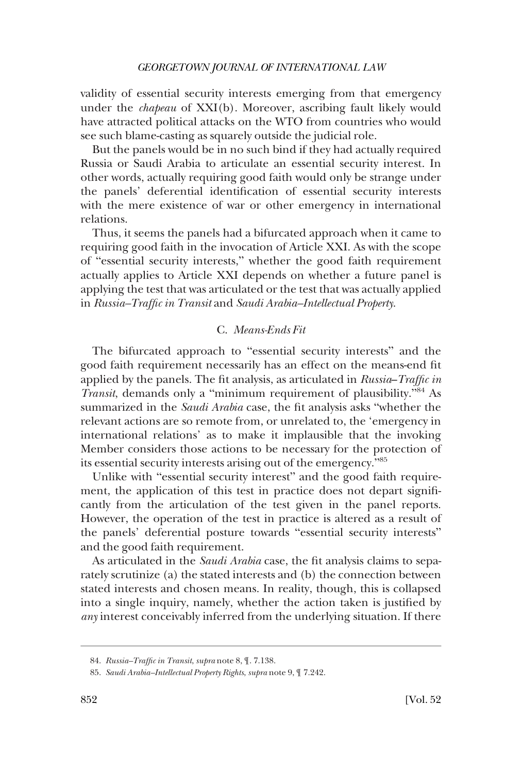<span id="page-17-0"></span>validity of essential security interests emerging from that emergency under the *chapeau* of XXI(b). Moreover, ascribing fault likely would have attracted political attacks on the WTO from countries who would see such blame-casting as squarely outside the judicial role.

But the panels would be in no such bind if they had actually required Russia or Saudi Arabia to articulate an essential security interest. In other words, actually requiring good faith would only be strange under the panels' deferential identification of essential security interests with the mere existence of war or other emergency in international relations.

Thus, it seems the panels had a bifurcated approach when it came to requiring good faith in the invocation of Article XXI. As with the scope of "essential security interests," whether the good faith requirement actually applies to Article XXI depends on whether a future panel is applying the test that was articulated or the test that was actually applied in *Russia–Traffic in Transit* and *Saudi Arabia–Intellectual Property*.

### C. *Means-Ends Fit*

The bifurcated approach to "essential security interests" and the good faith requirement necessarily has an effect on the means-end fit applied by the panels. The fit analysis, as articulated in *Russia*–*Traffic in Transit*, demands only a "minimum requirement of plausibility."84 As summarized in the *Saudi Arabia* case, the fit analysis asks "whether the relevant actions are so remote from, or unrelated to, the 'emergency in international relations' as to make it implausible that the invoking Member considers those actions to be necessary for the protection of its essential security interests arising out of the emergency."<sup>85</sup>

Unlike with "essential security interest" and the good faith requirement, the application of this test in practice does not depart significantly from the articulation of the test given in the panel reports. However, the operation of the test in practice is altered as a result of the panels' deferential posture towards "essential security interests" and the good faith requirement.

As articulated in the *Saudi Arabia* case, the fit analysis claims to separately scrutinize (a) the stated interests and (b) the connection between stated interests and chosen means. In reality, though, this is collapsed into a single inquiry, namely, whether the action taken is justified by *any* interest conceivably inferred from the underlying situation. If there

<sup>84.</sup> *Russia–Traffic in Transit*, *supra* note 8, ¶. 7.138.

<sup>85.</sup> *Saudi Arabia–Intellectual Property Rights*, *supra* note 9, ¶ 7.242.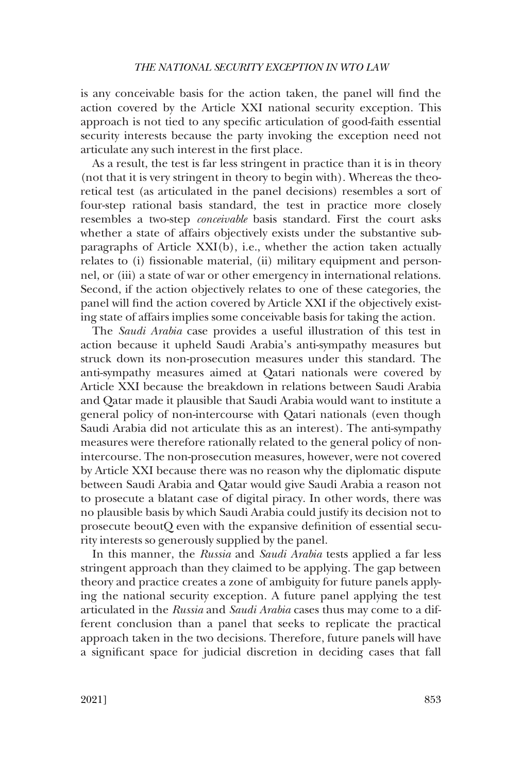is any conceivable basis for the action taken, the panel will find the action covered by the Article XXI national security exception. This approach is not tied to any specific articulation of good-faith essential security interests because the party invoking the exception need not articulate any such interest in the first place.

As a result, the test is far less stringent in practice than it is in theory (not that it is very stringent in theory to begin with). Whereas the theoretical test (as articulated in the panel decisions) resembles a sort of four-step rational basis standard, the test in practice more closely resembles a two-step *conceivable* basis standard. First the court asks whether a state of affairs objectively exists under the substantive subparagraphs of Article XXI(b), i.e., whether the action taken actually relates to (i) fissionable material, (ii) military equipment and personnel, or (iii) a state of war or other emergency in international relations. Second, if the action objectively relates to one of these categories, the panel will find the action covered by Article XXI if the objectively existing state of affairs implies some conceivable basis for taking the action.

The *Saudi Arabia* case provides a useful illustration of this test in action because it upheld Saudi Arabia's anti-sympathy measures but struck down its non-prosecution measures under this standard. The anti-sympathy measures aimed at Qatari nationals were covered by Article XXI because the breakdown in relations between Saudi Arabia and Qatar made it plausible that Saudi Arabia would want to institute a general policy of non-intercourse with Qatari nationals (even though Saudi Arabia did not articulate this as an interest). The anti-sympathy measures were therefore rationally related to the general policy of nonintercourse. The non-prosecution measures, however, were not covered by Article XXI because there was no reason why the diplomatic dispute between Saudi Arabia and Qatar would give Saudi Arabia a reason not to prosecute a blatant case of digital piracy. In other words, there was no plausible basis by which Saudi Arabia could justify its decision not to prosecute beoutQ even with the expansive definition of essential security interests so generously supplied by the panel.

In this manner, the *Russia* and *Saudi Arabia* tests applied a far less stringent approach than they claimed to be applying. The gap between theory and practice creates a zone of ambiguity for future panels applying the national security exception. A future panel applying the test articulated in the *Russia* and *Saudi Arabia* cases thus may come to a different conclusion than a panel that seeks to replicate the practical approach taken in the two decisions. Therefore, future panels will have a significant space for judicial discretion in deciding cases that fall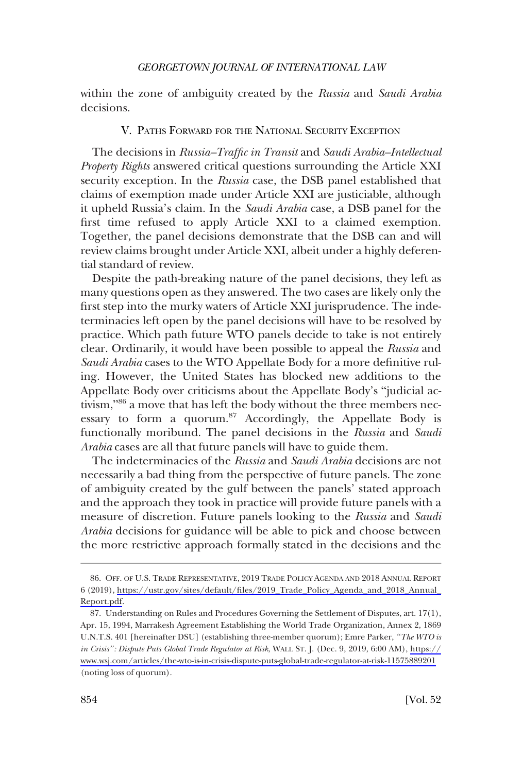<span id="page-19-0"></span>within the zone of ambiguity created by the *Russia* and *Saudi Arabia*  decisions.

# V. PATHS FORWARD FOR THE NATIONAL SECURITY EXCEPTION

The decisions in *Russia–Traffic in Transit* and *Saudi Arabia–Intellectual Property Rights* answered critical questions surrounding the Article XXI security exception. In the *Russia* case, the DSB panel established that claims of exemption made under Article XXI are justiciable, although it upheld Russia's claim. In the *Saudi Arabia* case, a DSB panel for the first time refused to apply Article XXI to a claimed exemption. Together, the panel decisions demonstrate that the DSB can and will review claims brought under Article XXI, albeit under a highly deferential standard of review.

Despite the path-breaking nature of the panel decisions, they left as many questions open as they answered. The two cases are likely only the first step into the murky waters of Article XXI jurisprudence. The indeterminacies left open by the panel decisions will have to be resolved by practice. Which path future WTO panels decide to take is not entirely clear. Ordinarily, it would have been possible to appeal the *Russia* and *Saudi Arabia* cases to the WTO Appellate Body for a more definitive ruling. However, the United States has blocked new additions to the Appellate Body over criticisms about the Appellate Body's "judicial activism,"<sup>86</sup> a move that has left the body without the three members necessary to form a quorum.<sup>87</sup> Accordingly, the Appellate Body is functionally moribund. The panel decisions in the *Russia* and *Saudi Arabia* cases are all that future panels will have to guide them.

The indeterminacies of the *Russia* and *Saudi Arabia* decisions are not necessarily a bad thing from the perspective of future panels. The zone of ambiguity created by the gulf between the panels' stated approach and the approach they took in practice will provide future panels with a measure of discretion. Future panels looking to the *Russia* and *Saudi Arabia* decisions for guidance will be able to pick and choose between the more restrictive approach formally stated in the decisions and the

<sup>86.</sup> OFF. OF U.S. TRADE REPRESENTATIVE, 2019 TRADE POLICY AGENDA AND 2018 ANNUAL REPORT 6 (2019), [https://ustr.gov/sites/default/files/2019\\_Trade\\_Policy\\_Agenda\\_and\\_2018\\_Annual\\_](https://ustr.gov/sites/default/files/2019_Trade_Policy_Agenda_and_2018_Annual_Report.pdf) [Report.pdf.](https://ustr.gov/sites/default/files/2019_Trade_Policy_Agenda_and_2018_Annual_Report.pdf)

Understanding on Rules and Procedures Governing the Settlement of Disputes, art. 17(1), 87. Apr. 15, 1994, Marrakesh Agreement Establishing the World Trade Organization, Annex 2, 1869 U.N.T.S. 401 [hereinafter DSU] (establishing three-member quorum); Emre Parker, *"The WTO is in Crisis": Dispute Puts Global Trade Regulator at Risk*, WALL ST. J. (Dec. 9, 2019, 6:00 AM), [https://](https://www.wsj.com/articles/the-wto-is-in-crisis-dispute-puts-global-trade-regulator-at-risk-11575889201) [www.wsj.com/articles/the-wto-is-in-crisis-dispute-puts-global-trade-regulator-at-risk-11575889201](https://www.wsj.com/articles/the-wto-is-in-crisis-dispute-puts-global-trade-regulator-at-risk-11575889201)  (noting loss of quorum).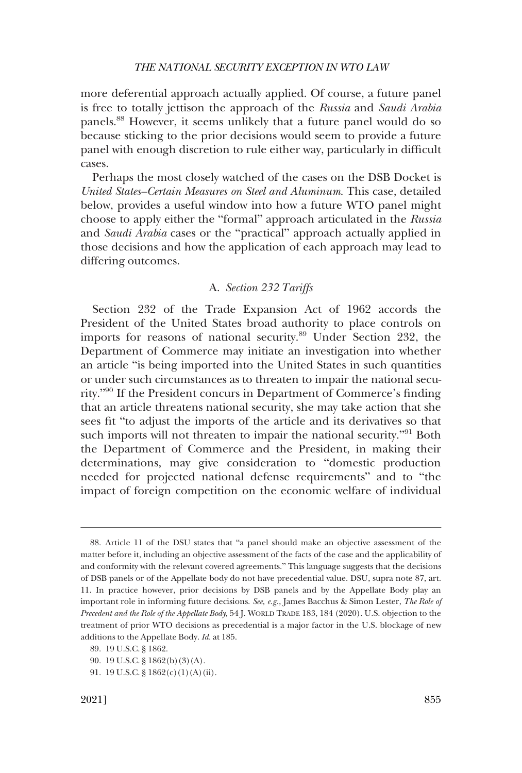<span id="page-20-0"></span>more deferential approach actually applied. Of course, a future panel is free to totally jettison the approach of the *Russia* and *Saudi Arabia*  panels.88 However, it seems unlikely that a future panel would do so because sticking to the prior decisions would seem to provide a future panel with enough discretion to rule either way, particularly in difficult cases.

Perhaps the most closely watched of the cases on the DSB Docket is *United States–Certain Measures on Steel and Aluminum*. This case, detailed below, provides a useful window into how a future WTO panel might choose to apply either the "formal" approach articulated in the *Russia*  and *Saudi Arabia* cases or the "practical" approach actually applied in those decisions and how the application of each approach may lead to differing outcomes.

# A. *Section 232 Tariffs*

Section 232 of the Trade Expansion Act of 1962 accords the President of the United States broad authority to place controls on imports for reasons of national security.89 Under Section 232, the Department of Commerce may initiate an investigation into whether an article "is being imported into the United States in such quantities or under such circumstances as to threaten to impair the national security."90 If the President concurs in Department of Commerce's finding that an article threatens national security, she may take action that she sees fit "to adjust the imports of the article and its derivatives so that such imports will not threaten to impair the national security."<sup>91</sup> Both the Department of Commerce and the President, in making their determinations, may give consideration to "domestic production needed for projected national defense requirements" and to "the impact of foreign competition on the economic welfare of individual

<sup>88.</sup> Article 11 of the DSU states that "a panel should make an objective assessment of the matter before it, including an objective assessment of the facts of the case and the applicability of and conformity with the relevant covered agreements." This language suggests that the decisions of DSB panels or of the Appellate body do not have precedential value. DSU, supra note 87, art. 11. In practice however, prior decisions by DSB panels and by the Appellate Body play an important role in informing future decisions. *See, e.g.*, James Bacchus & Simon Lester, *The Role of Precedent and the Role of the Appellate Body*, 54 J. WORLD TRADE 183, 184 (2020). U.S. objection to the treatment of prior WTO decisions as precedential is a major factor in the U.S. blockage of new additions to the Appellate Body. *Id*. at 185.

<sup>89. 19</sup> U.S.C. § 1862.

<sup>90. 19</sup> U.S.C. § 1862(b)(3)(A).

<sup>91. 19</sup> U.S.C. § 1862(c)(1)(A)(ii).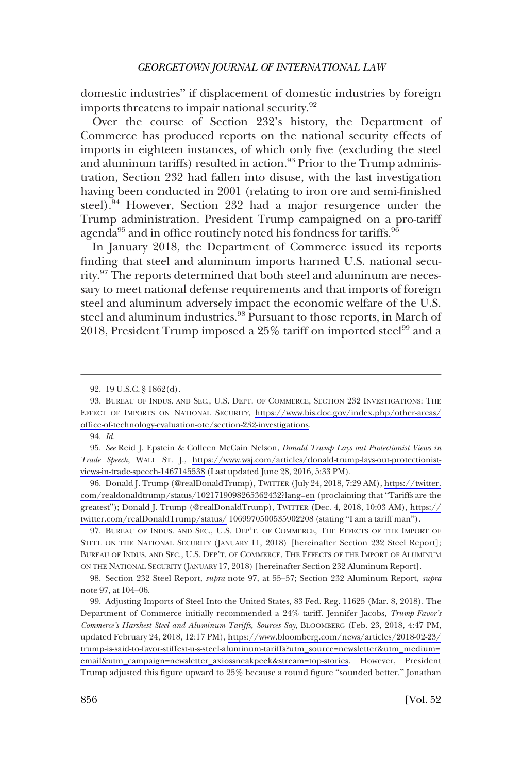domestic industries" if displacement of domestic industries by foreign imports threatens to impair national security.<sup>92</sup>

Over the course of Section 232's history, the Department of Commerce has produced reports on the national security effects of imports in eighteen instances, of which only five (excluding the steel and aluminum tariffs) resulted in action.<sup>93</sup> Prior to the Trump administration, Section 232 had fallen into disuse, with the last investigation having been conducted in 2001 (relating to iron ore and semi-finished steel).<sup>94</sup> However, Section 232 had a major resurgence under the Trump administration. President Trump campaigned on a pro-tariff agenda $^{95}$  and in office routinely noted his fondness for tariffs. $^{96}$ 

In January 2018, the Department of Commerce issued its reports finding that steel and aluminum imports harmed U.S. national security.<sup>97</sup> The reports determined that both steel and aluminum are necessary to meet national defense requirements and that imports of foreign steel and aluminum adversely impact the economic welfare of the U.S. steel and aluminum industries.<sup>98</sup> Pursuant to those reports, in March of 2018, President Trump imposed a 25% tariff on imported steel<sup>99</sup> and a

94. *Id.* 

*See* Reid J. Epstein & Colleen McCain Nelson, *Donald Trump Lays out Protectionist Views in*  95. *Trade Speech*, WALL ST. J., [https://www.wsj.com/articles/donald-trump-lays-out-protectionist](https://www.wsj.com/articles/donald-trump-lays-out-protectionist-views-in-trade-speech-1467145538)[views-in-trade-speech-1467145538](https://www.wsj.com/articles/donald-trump-lays-out-protectionist-views-in-trade-speech-1467145538) (Last updated June 28, 2016, 5:33 PM).

96. Donald J. Trump (@realDonaldTrump), TWITTER (July 24, 2018, 7:29 AM), [https://twitter.](https://twitter.com/realdonaldtrump/status/1021719098265362432?lang=en) [com/realdonaldtrump/status/1021719098265362432?lang=en](https://twitter.com/realdonaldtrump/status/1021719098265362432?lang=en) (proclaiming that "Tariffs are the greatest"); Donald J. Trump (@realDonaldTrump), TWITTER (Dec. 4, 2018, 10:03 AM), [https://](https://twitter.com/realDonaldTrump/status/) [twitter.com/realDonaldTrump/status/](https://twitter.com/realDonaldTrump/status/) 1069970500535902208 (stating "I am a tariff man").

97. BUREAU OF INDUS. AND SEC., U.S. DEP'T. OF COMMERCE, THE EFFECTS OF THE IMPORT OF STEEL ON THE NATIONAL SECURITY (JANUARY 11, 2018) [hereinafter Section 232 Steel Report]; BUREAU OF INDUS. AND SEC., U.S. DEP'T. OF COMMERCE, THE EFFECTS OF THE IMPORT OF ALUMINUM ON THE NATIONAL SECURITY (JANUARY 17, 2018) [hereinafter Section 232 Aluminum Report].

98. Section 232 Steel Report, *supra* note 97, at 55–57; Section 232 Aluminum Report, *supra*  note 97, at 104–06.

Adjusting Imports of Steel Into the United States, 83 Fed. Reg. 11625 (Mar. 8, 2018). The 99. Department of Commerce initially recommended a 24% tariff. Jennifer Jacobs, *Trump Favor's Commerce's Harshest Steel and Aluminum Tariffs, Sources Say*, BLOOMBERG (Feb. 23, 2018, 4:47 PM, updated February 24, 2018, 12:17 PM), [https://www.bloomberg.com/news/articles/2018-02-23/](https://www.bloomberg.com/news/articles/2018-02-23/trump-is-said-to-favor-stiffest-u-s-steel-aluminum-tariffs?utm_source=newsletter&utm_medium=email&utm_campaign=newsletter_axiossneakpeek&stream=top-stories)  [trump-is-said-to-favor-stiffest-u-s-steel-aluminum-tariffs?utm\\_source=newsletter&utm\\_medium=](https://www.bloomberg.com/news/articles/2018-02-23/trump-is-said-to-favor-stiffest-u-s-steel-aluminum-tariffs?utm_source=newsletter&utm_medium=email&utm_campaign=newsletter_axiossneakpeek&stream=top-stories) [email&utm\\_campaign=newsletter\\_axiossneakpeek&stream=top-stories.](https://www.bloomberg.com/news/articles/2018-02-23/trump-is-said-to-favor-stiffest-u-s-steel-aluminum-tariffs?utm_source=newsletter&utm_medium=email&utm_campaign=newsletter_axiossneakpeek&stream=top-stories) However, President Trump adjusted this figure upward to 25% because a round figure "sounded better." Jonathan

<sup>92. 19</sup> U.S.C. § 1862(d).

<sup>93.</sup> BUREAU OF INDUS. AND SEC., U.S. DEPT. OF COMMERCE, SECTION 232 INVESTIGATIONS: THE EFFECT OF IMPORTS ON NATIONAL SECURITY, [https://www.bis.doc.gov/index.php/other-areas/](https://www.bis.doc.gov/index.php/other-areas/office-of-technology-evaluation-ote/section-232-investigations)  [office-of-technology-evaluation-ote/section-232-investigations](https://www.bis.doc.gov/index.php/other-areas/office-of-technology-evaluation-ote/section-232-investigations).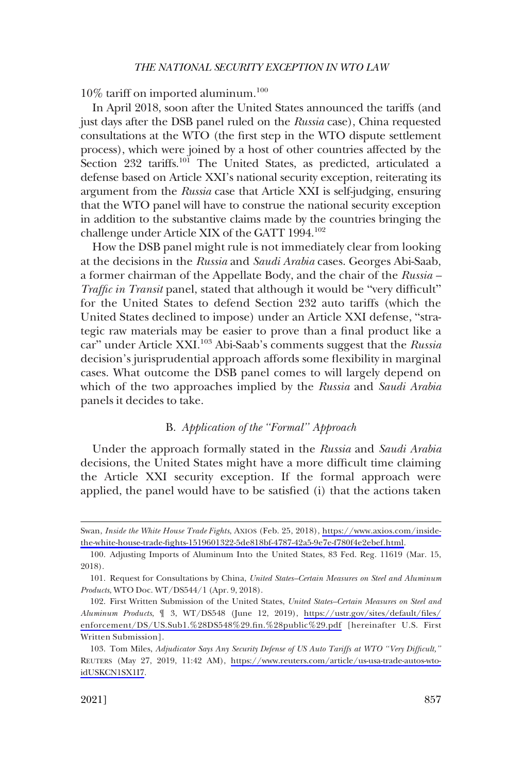<span id="page-22-0"></span> $10\%$  tariff on imported aluminum.<sup>100</sup>

In April 2018, soon after the United States announced the tariffs (and just days after the DSB panel ruled on the *Russia* case), China requested consultations at the WTO (the first step in the WTO dispute settlement process), which were joined by a host of other countries affected by the Section 232 tariffs.<sup>101</sup> The United States, as predicted, articulated a defense based on Article XXI's national security exception, reiterating its argument from the *Russia* case that Article XXI is self-judging, ensuring that the WTO panel will have to construe the national security exception in addition to the substantive claims made by the countries bringing the challenge under Article XIX of the GATT 1994.<sup>102</sup>

How the DSB panel might rule is not immediately clear from looking at the decisions in the *Russia* and *Saudi Arabia* cases. Georges Abi-Saab, a former chairman of the Appellate Body, and the chair of the *Russia – Traffic in Transit* panel, stated that although it would be "very difficult" for the United States to defend Section 232 auto tariffs (which the United States declined to impose) under an Article XXI defense, "strategic raw materials may be easier to prove than a final product like a car" under Article XXI.<sup>103</sup> Abi-Saab's comments suggest that the *Russia* decision's jurisprudential approach affords some flexibility in marginal cases. What outcome the DSB panel comes to will largely depend on which of the two approaches implied by the *Russia* and *Saudi Arabia*  panels it decides to take.

### B. *Application of the "Formal" Approach*

Under the approach formally stated in the *Russia* and *Saudi Arabia*  decisions, the United States might have a more difficult time claiming the Article XXI security exception. If the formal approach were applied, the panel would have to be satisfied (i) that the actions taken

Swan, *Inside the White House Trade Fights*, AXIOS (Feb. 25, 2018), [https://www.axios.com/inside](https://www.axios.com/inside-the-white-house-trade-fights-1519601322-5de818bf-4787-42a5-9e7e-f780f4e2ebef.html)[the-white-house-trade-fights-1519601322-5de818bf-4787-42a5-9e7e-f780f4e2ebef.html](https://www.axios.com/inside-the-white-house-trade-fights-1519601322-5de818bf-4787-42a5-9e7e-f780f4e2ebef.html).

<sup>100.</sup> Adjusting Imports of Aluminum Into the United States, 83 Fed. Reg. 11619 (Mar. 15, 2018).

<sup>101.</sup> Request for Consultations by China, *United States–Certain Measures on Steel and Aluminum Products*, WTO Doc. WT/DS544/1 (Apr. 9, 2018).

First Written Submission of the United States, *United States–Certain Measures on Steel and*  102. *Aluminum Products*, ¶ 3, WT/DS548 (June 12, 2019), [https://ustr.gov/sites/default/files/](https://ustr.gov/sites/default/files/enforcement/DS/US.Sub1.%28DS548%29.fin.%28public%29.pdf)  [enforcement/DS/US.Sub1.%28DS548%29.fin.%28public%29.pdf](https://ustr.gov/sites/default/files/enforcement/DS/US.Sub1.%28DS548%29.fin.%28public%29.pdf) [hereinafter U.S. First Written Submission].

Tom Miles, *Adjudicator Says Any Security Defense of US Auto Tariffs at WTO "Very Difficult,"*  103. REUTERS (May 27, 2019, 11:42 AM), [https://www.reuters.com/article/us-usa-trade-autos-wto](https://www.reuters.com/article/us-usa-trade-autos-wto-idUSKCN1SX1I7)[idUSKCN1SX1I7](https://www.reuters.com/article/us-usa-trade-autos-wto-idUSKCN1SX1I7).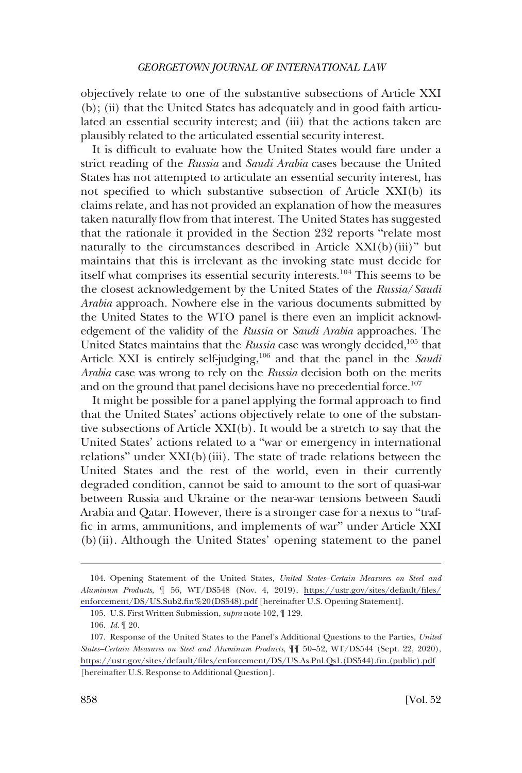objectively relate to one of the substantive subsections of Article XXI (b); (ii) that the United States has adequately and in good faith articulated an essential security interest; and (iii) that the actions taken are plausibly related to the articulated essential security interest.

It is difficult to evaluate how the United States would fare under a strict reading of the *Russia* and *Saudi Arabia* cases because the United States has not attempted to articulate an essential security interest, has not specified to which substantive subsection of Article XXI(b) its claims relate, and has not provided an explanation of how the measures taken naturally flow from that interest. The United States has suggested that the rationale it provided in the Section 232 reports "relate most naturally to the circumstances described in Article XXI(b)(iii)" but maintains that this is irrelevant as the invoking state must decide for itself what comprises its essential security interests.104 This seems to be the closest acknowledgement by the United States of the *Russia*/*Saudi Arabia* approach. Nowhere else in the various documents submitted by the United States to the WTO panel is there even an implicit acknowledgement of the validity of the *Russia* or *Saudi Arabia* approaches. The United States maintains that the *Russia* case was wrongly decided,<sup>105</sup> that Article XXI is entirely self-judging,<sup>106</sup> and that the panel in the *Saudi Arabia* case was wrong to rely on the *Russia* decision both on the merits and on the ground that panel decisions have no precedential force.<sup>107</sup>

It might be possible for a panel applying the formal approach to find that the United States' actions objectively relate to one of the substantive subsections of Article XXI(b). It would be a stretch to say that the United States' actions related to a "war or emergency in international relations" under XXI(b)(iii). The state of trade relations between the United States and the rest of the world, even in their currently degraded condition, cannot be said to amount to the sort of quasi-war between Russia and Ukraine or the near-war tensions between Saudi Arabia and Qatar. However, there is a stronger case for a nexus to "traffic in arms, ammunitions, and implements of war" under Article XXI (b)(ii). Although the United States' opening statement to the panel

<sup>104.</sup> Opening Statement of the United States, *United States–Certain Measures on Steel and Aluminum Products*, ¶ 56, WT/DS548 (Nov. 4, 2019), [https://ustr.gov/sites/default/files/](https://ustr.gov/sites/default/files/enforcement/DS/US.Sub2.fin%20(DS548).pdf) [enforcement/DS/US.Sub2.fin%20\(DS548\).pdf](https://ustr.gov/sites/default/files/enforcement/DS/US.Sub2.fin%20(DS548).pdf) [hereinafter U.S. Opening Statement].

<sup>105.</sup> U.S. First Written Submission, *supra* note 102, ¶ 129.

<sup>106.</sup> *Id.* ¶ 20.

<sup>107.</sup> Response of the United States to the Panel's Additional Questions to the Parties, *United States–Certain Measures on Steel and Aluminum Products*, ¶¶ 50–52, WT/DS544 (Sept. 22, 2020), [https://ustr.gov/sites/default/files/enforcement/DS/US.As.Pnl.Qs1.\(DS544\).fin.\(public\).pdf](https://ustr.gov/sites/default/files/enforcement/DS/US.As.Pnl.Qs1.(DS544).fin.(public).pdf) [hereinafter U.S. Response to Additional Question].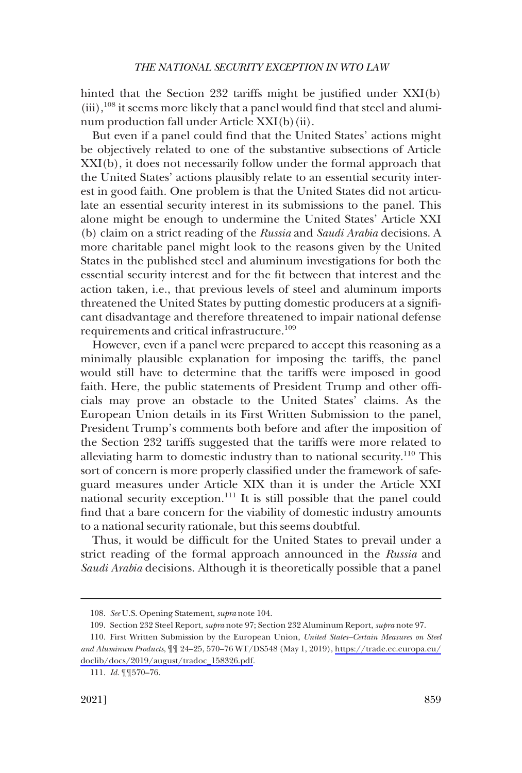hinted that the Section 232 tariffs might be justified under XXI(b)  $(iii)$ ,<sup>108</sup> it seems more likely that a panel would find that steel and aluminum production fall under Article XXI(b)(ii).

But even if a panel could find that the United States' actions might be objectively related to one of the substantive subsections of Article XXI(b), it does not necessarily follow under the formal approach that the United States' actions plausibly relate to an essential security interest in good faith. One problem is that the United States did not articulate an essential security interest in its submissions to the panel. This alone might be enough to undermine the United States' Article XXI (b) claim on a strict reading of the *Russia* and *Saudi Arabia* decisions. A more charitable panel might look to the reasons given by the United States in the published steel and aluminum investigations for both the essential security interest and for the fit between that interest and the action taken, i.e., that previous levels of steel and aluminum imports threatened the United States by putting domestic producers at a significant disadvantage and therefore threatened to impair national defense requirements and critical infrastructure.<sup>109</sup>

However, even if a panel were prepared to accept this reasoning as a minimally plausible explanation for imposing the tariffs, the panel would still have to determine that the tariffs were imposed in good faith. Here, the public statements of President Trump and other officials may prove an obstacle to the United States' claims. As the European Union details in its First Written Submission to the panel, President Trump's comments both before and after the imposition of the Section 232 tariffs suggested that the tariffs were more related to alleviating harm to domestic industry than to national security.<sup>110</sup> This sort of concern is more properly classified under the framework of safeguard measures under Article XIX than it is under the Article XXI national security exception.<sup>111</sup> It is still possible that the panel could find that a bare concern for the viability of domestic industry amounts to a national security rationale, but this seems doubtful.

Thus, it would be difficult for the United States to prevail under a strict reading of the formal approach announced in the *Russia* and *Saudi Arabia* decisions. Although it is theoretically possible that a panel

<sup>108.</sup> *See* U.S. Opening Statement, *supra* note 104.

<sup>109.</sup> Section 232 Steel Report, *supra* note 97; Section 232 Aluminum Report, *supra* note 97.

<sup>110.</sup> First Written Submission by the European Union, *United States–Certain Measures on Steel and Aluminum Products*, ¶¶ 24–25, 570–76 WT/DS548 (May 1, 2019), [https://trade.ec.europa.eu/](https://trade.ec.europa.eu/doclib/docs/2019/august/tradoc_158326.pdf) [doclib/docs/2019/august/tradoc\\_158326.pdf.](https://trade.ec.europa.eu/doclib/docs/2019/august/tradoc_158326.pdf)

<sup>111.</sup> *Id.* ¶¶570–76.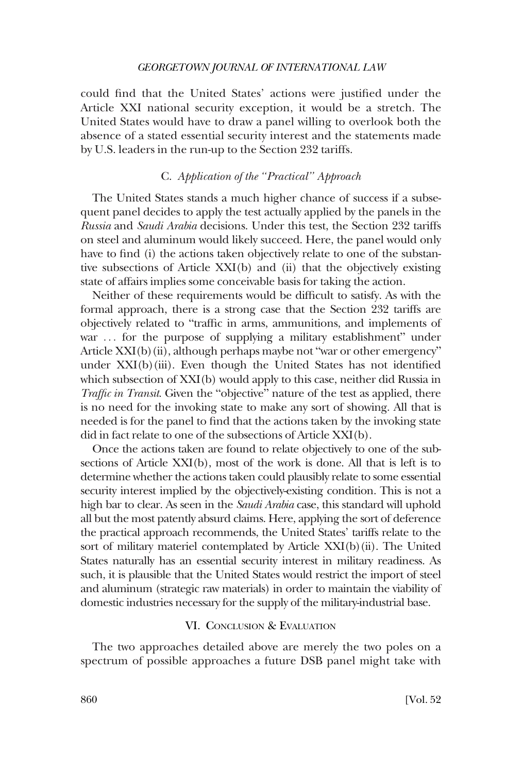<span id="page-25-0"></span>could find that the United States' actions were justified under the Article XXI national security exception, it would be a stretch. The United States would have to draw a panel willing to overlook both the absence of a stated essential security interest and the statements made by U.S. leaders in the run-up to the Section 232 tariffs.

# C. *Application of the "Practical" Approach*

The United States stands a much higher chance of success if a subsequent panel decides to apply the test actually applied by the panels in the *Russia* and *Saudi Arabia* decisions. Under this test, the Section 232 tariffs on steel and aluminum would likely succeed. Here, the panel would only have to find (i) the actions taken objectively relate to one of the substantive subsections of Article XXI(b) and (ii) that the objectively existing state of affairs implies some conceivable basis for taking the action.

Neither of these requirements would be difficult to satisfy. As with the formal approach, there is a strong case that the Section 232 tariffs are objectively related to "traffic in arms, ammunitions, and implements of war ... for the purpose of supplying a military establishment" under Article XXI(b)(ii), although perhaps maybe not "war or other emergency" under XXI(b)(iii). Even though the United States has not identified which subsection of XXI(b) would apply to this case, neither did Russia in *Traffic in Transit*. Given the "objective" nature of the test as applied, there is no need for the invoking state to make any sort of showing. All that is needed is for the panel to find that the actions taken by the invoking state did in fact relate to one of the subsections of Article XXI(b).

Once the actions taken are found to relate objectively to one of the subsections of Article XXI(b), most of the work is done. All that is left is to determine whether the actions taken could plausibly relate to some essential security interest implied by the objectively-existing condition. This is not a high bar to clear. As seen in the *Saudi Arabia* case, this standard will uphold all but the most patently absurd claims. Here, applying the sort of deference the practical approach recommends, the United States' tariffs relate to the sort of military materiel contemplated by Article XXI(b)(ii). The United States naturally has an essential security interest in military readiness. As such, it is plausible that the United States would restrict the import of steel and aluminum (strategic raw materials) in order to maintain the viability of domestic industries necessary for the supply of the military-industrial base.

### VI. CONCLUSION & EVALUATION

The two approaches detailed above are merely the two poles on a spectrum of possible approaches a future DSB panel might take with